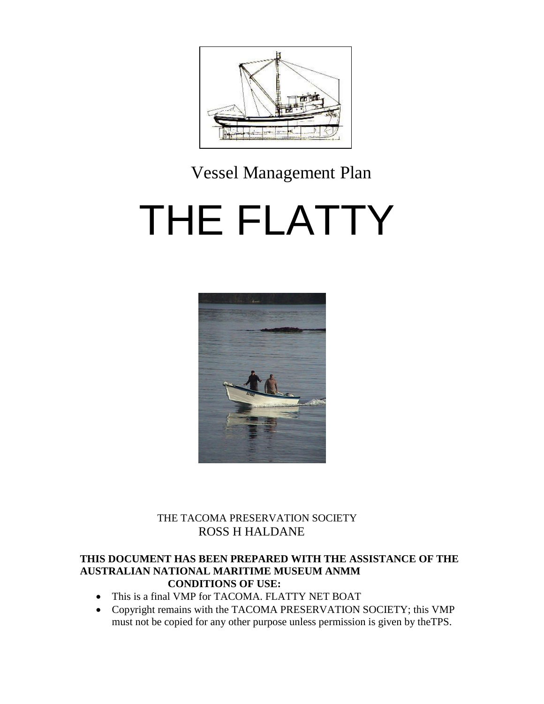

# Vessel Management Plan

# THE FLATTY



# THE TACOMA PRESERVATION SOCIETY THE TACOMA PRESERVATION<br>ROSS H HALDANE

#### **THIS DOCUMENT HAS BEEN PREPARED WITH THE ASSISTANCE OF THE AUSTRALIAN NATIONAL MARITIME MUSEUM ANMM CONDITIONS OF USE:**

- This is a final VMP for TACOMA. FLATTY NET BOAT
- Copyright remains with the TACOMA PRESERVATION SOCIETY; this VMP must not be copied for any other purpose unless permission is given by theTPS.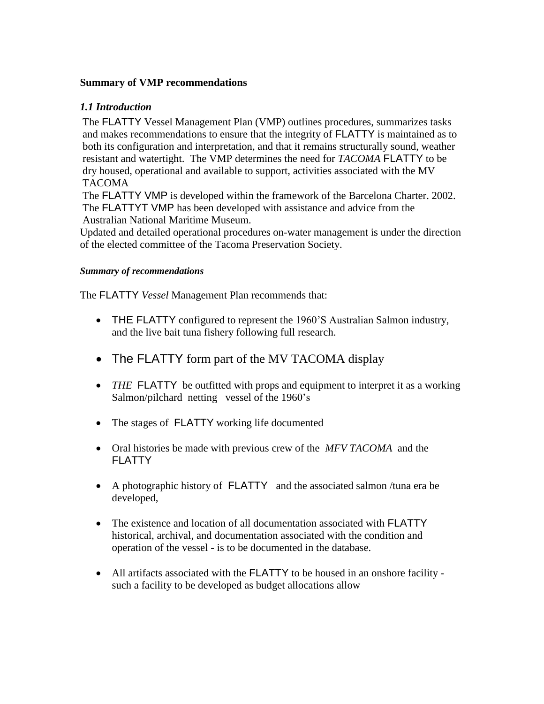#### **Summary of VMP recommendations**

#### *1.1 Introduction*

The FLATTY Vessel Management Plan (VMP) outlines procedures, summarizes tasks and makes recommendations to ensure that the integrity of FLATTY is maintained as to both its configuration and interpretation, and that it remains structurally sound, weather resistant and watertight. The VMP determines the need for *TACOMA* FLATTY to be dry housed, operational and available to support, activities associated with the MV TACOMA

The FLATTY VMP is developed within the framework of the Barcelona Charter. 2002. The FLATTYT VMP has been developed with assistance and advice from the Australian National Maritime Museum.

Updated and detailed operational procedures on-water management is under the direction of the elected committee of the Tacoma Preservation Society.

#### *Summary of recommendations*

The FLATTY *Vessel* Management Plan recommends that:

- THE FLATTY configured to represent the 1960'S Australian Salmon industry, and the live bait tuna fishery following full research.
- The FLATTY form part of the MV TACOMA display
- *THE* FLATTY be outfitted with props and equipment to interpret it as a working Salmon/pilchard netting vessel of the 1960's
- The stages of FLATTY working life documented
- Oral histories be made with previous crew of the *MFV TACOMA* and the **FLATTY**
- A photographic history of FLATTY and the associated salmon /tuna era be developed,
- The existence and location of all documentation associated with **FLATTY** historical, archival, and documentation associated with the condition and operation of the vessel - is to be documented in the database.
- All artifacts associated with the FLATTY to be housed in an onshore facility such a facility to be developed as budget allocations allow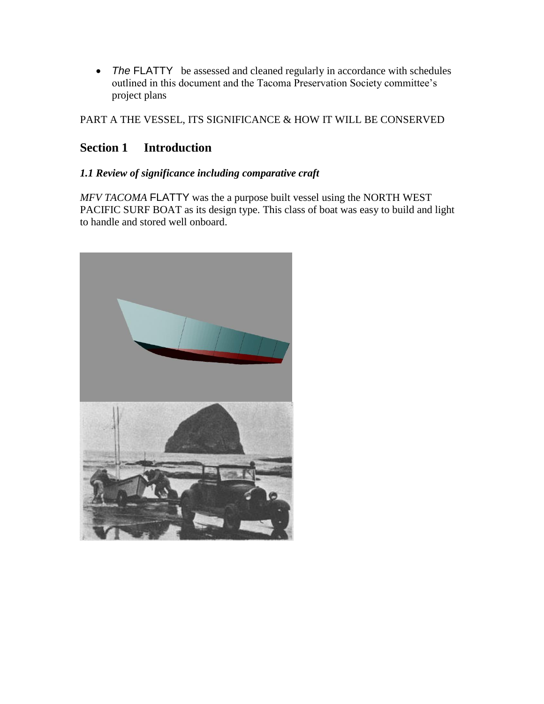• The FLATTY be assessed and cleaned regularly in accordance with schedules outlined in this document and the Tacoma Preservation Society committee's project plans

PART A THE VESSEL, ITS SIGNIFICANCE & HOW IT WILL BE CONSERVED

# **Section 1 Introduction**

#### *1.1 Review of significance including comparative craft*

*MFV TACOMA* FLATTY was the a purpose built vessel using the NORTH WEST PACIFIC SURF BOAT as its design type. This class of boat was easy to build and light to handle and stored well onboard.

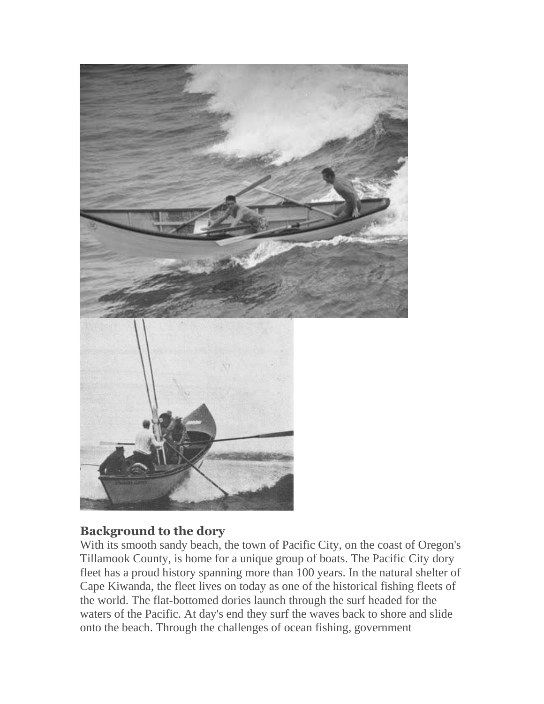

# **Background to the dory**

With its smooth sandy beach, the town of Pacific City, on the coast of Oregon's Tillamook County, is home for a unique group of boats. The Pacific City dory fleet has a proud history spanning more than 100 years. In the natural shelter of Cape Kiwanda, the fleet lives on today as one of the historical fishing fleets of the world. The flat-bottomed dories launch through the surf headed for the waters of the Pacific. At day's end they surf the waves back to shore and slide onto the beach. Through the challenges of ocean fishing, government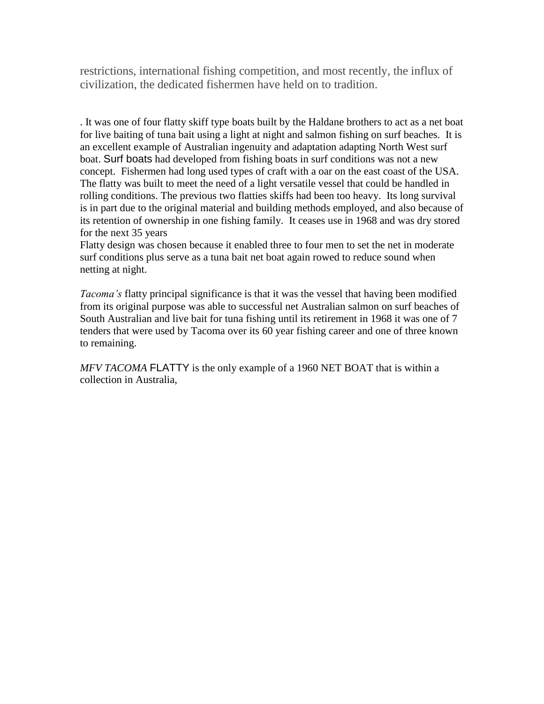restrictions, international fishing competition, and most recently, the influx of civilization, the dedicated fishermen have held on to tradition.

. It was one of four flatty skiff type boats built by the Haldane brothers to act as a net boat for live baiting of tuna bait using a light at night and salmon fishing on surf beaches. It is an excellent example of Australian ingenuity and adaptation adapting North West surf boat. Surf boats had developed from fishing boats in surf conditions was not a new concept. Fishermen had long used types of craft with a oar on the east coast of the USA. The flatty was built to meet the need of a light versatile vessel that could be handled in rolling conditions. The previous two flatties skiffs had been too heavy. Its long survival is in part due to the original material and building methods employed, and also because of its retention of ownership in one fishing family. It ceases use in 1968 and was dry stored for the next 35 years

Flatty design was chosen because it enabled three to four men to set the net in moderate surf conditions plus serve as a tuna bait net boat again rowed to reduce sound when netting at night.

*Tacoma's* flatty principal significance is that it was the vessel that having been modified from its original purpose was able to successful net Australian salmon on surf beaches of South Australian and live bait for tuna fishing until its retirement in 1968 it was one of 7 tenders that were used by Tacoma over its 60 year fishing career and one of three known to remaining.

*MFV TACOMA* FLATTY is the only example of a 1960 NET BOAT that is within a collection in Australia,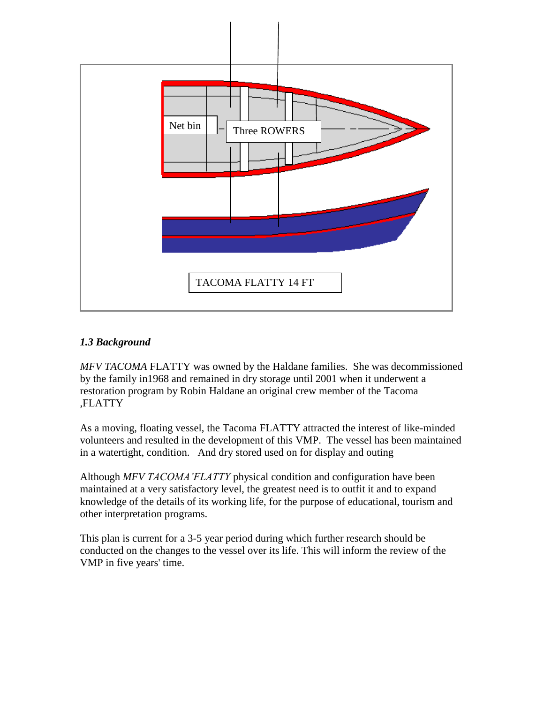

#### *1.3 Background*

*MFV TACOMA* FLATTY was owned by the Haldane families. She was decommissioned by the family in1968 and remained in dry storage until 2001 when it underwent a restoration program by Robin Haldane an original crew member of the Tacoma ,FLATTY

As a moving, floating vessel, the Tacoma FLATTY attracted the interest of like-minded volunteers and resulted in the development of this VMP. The vessel has been maintained in a watertight, condition. And dry stored used on for display and outing

Although *MFV TACOMA'FLATTY* physical condition and configuration have been maintained at a very satisfactory level, the greatest need is to outfit it and to expand knowledge of the details of its working life, for the purpose of educational, tourism and other interpretation programs.

This plan is current for a 3-5 year period during which further research should be conducted on the changes to the vessel over its life. This will inform the review of the VMP in five years' time.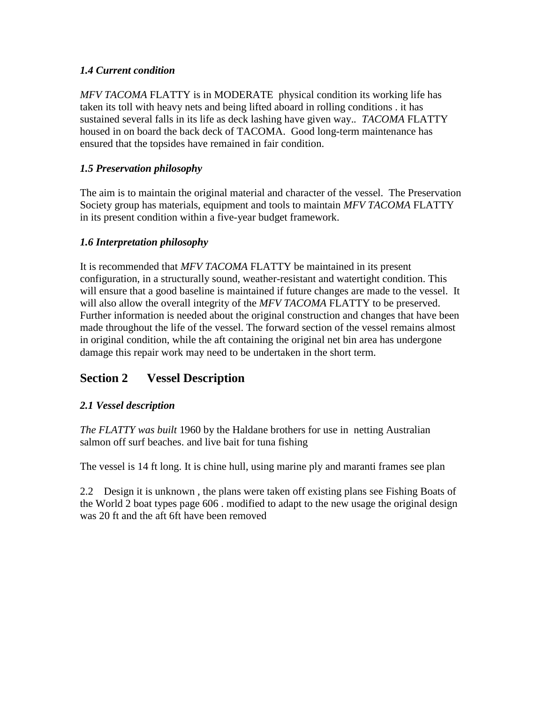#### *1.4 Current condition*

*MFV TACOMA* FLATTY is in MODERATE physical condition its working life has taken its toll with heavy nets and being lifted aboard in rolling conditions . it has sustained several falls in its life as deck lashing have given way.*. TACOMA* FLATTY housed in on board the back deck of TACOMA. Good long-term maintenance has ensured that the topsides have remained in fair condition.

#### *1.5 Preservation philosophy*

The aim is to maintain the original material and character of the vessel. The Preservation Society group has materials, equipment and tools to maintain *MFV TACOMA* FLATTY in its present condition within a five-year budget framework.

#### *1.6 Interpretation philosophy*

It is recommended that *MFV TACOMA* FLATTY be maintained in its present configuration, in a structurally sound, weather-resistant and watertight condition. This will ensure that a good baseline is maintained if future changes are made to the vessel. It will also allow the overall integrity of the *MFV TACOMA* FLATTY to be preserved. Further information is needed about the original construction and changes that have been made throughout the life of the vessel. The forward section of the vessel remains almost in original condition, while the aft containing the original net bin area has undergone damage this repair work may need to be undertaken in the short term.

# **Section 2 Vessel Description**

#### *2.1 Vessel description*

*The FLATTY was built* 1960 by the Haldane brothers for use in netting Australian salmon off surf beaches. and live bait for tuna fishing

The vessel is 14 ft long. It is chine hull, using marine ply and maranti frames see plan

2.2 Design it is unknown , the plans were taken off existing plans see Fishing Boats of the World 2 boat types page 606 . modified to adapt to the new usage the original design was 20 ft and the aft 6ft have been removed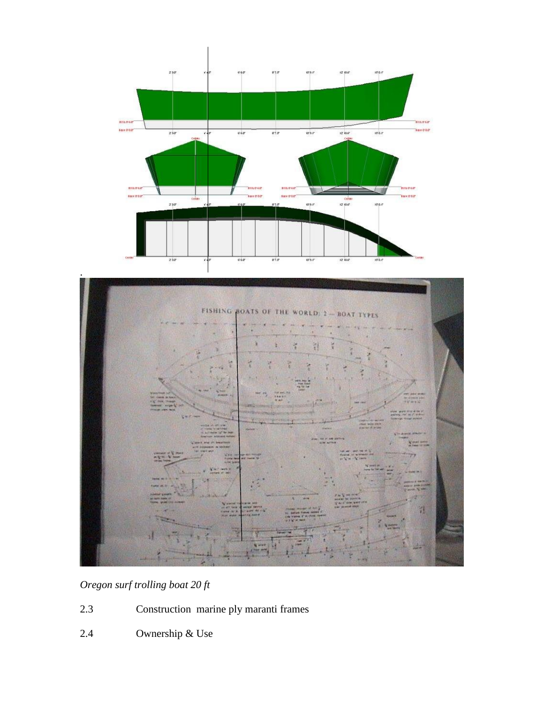



# *Oregon surf trolling boat 20 ft*

- 2.3 Construction marine ply maranti frames
- 2.4 Ownership & Use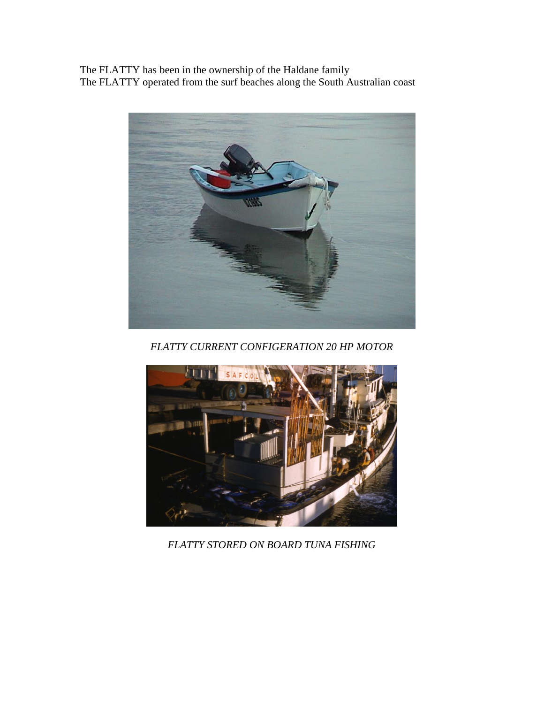The FLATTY has been in the ownership of the Haldane family The FLATTY operated from the surf beaches along the South Australian coast



*FLATTY CURRENT CONFIGERATION 20 HP MOTOR*



*FLATTY STORED ON BOARD TUNA FISHING*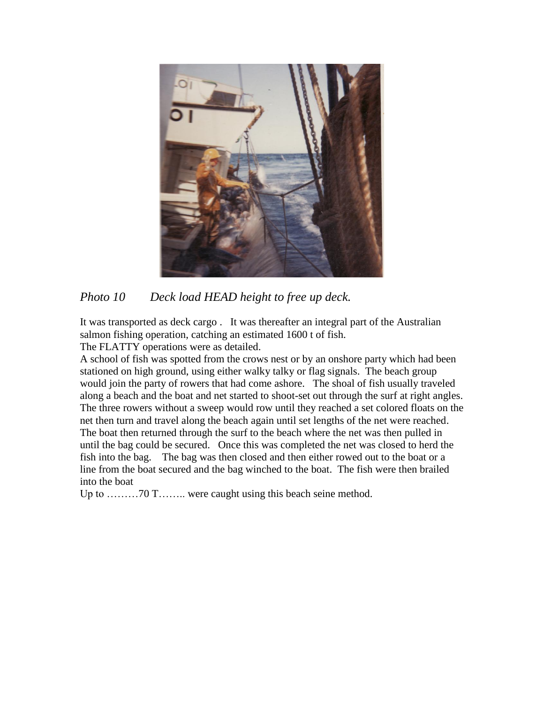

*Photo 10 Deck load HEAD height to free up deck.*

It was transported as deck cargo . It was thereafter an integral part of the Australian salmon fishing operation, catching an estimated 1600 t of fish. The FLATTY operations were as detailed.

A school of fish was spotted from the crows nest or by an onshore party which had been stationed on high ground, using either walky talky or flag signals. The beach group would join the party of rowers that had come ashore. The shoal of fish usually traveled along a beach and the boat and net started to shoot-set out through the surf at right angles. The three rowers without a sweep would row until they reached a set colored floats on the net then turn and travel along the beach again until set lengths of the net were reached. The boat then returned through the surf to the beach where the net was then pulled in until the bag could be secured. Once this was completed the net was closed to herd the fish into the bag. The bag was then closed and then either rowed out to the boat or a line from the boat secured and the bag winched to the boat. The fish were then brailed into the boat

Up to ………70 T…….. were caught using this beach seine method.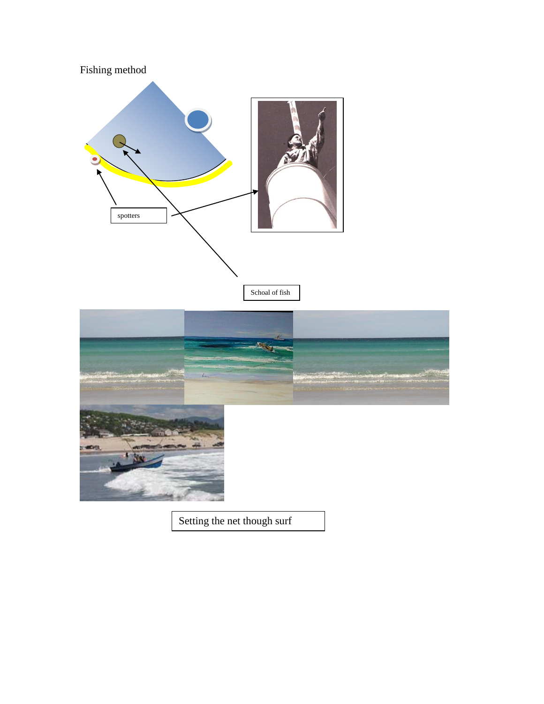

Setting the net though surf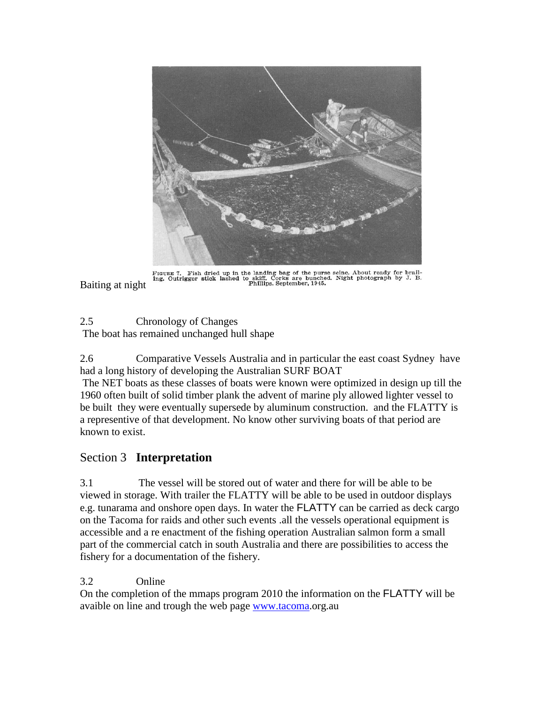

FIGURE 7. Fish dried up in the landing bag of the purse seine. About ready for brailing. Outrigger stick lashed to skiff. Corks are bunched. Night photograph by J. B.<br>Phillips. September, 1945.

Baiting at night

2.5 Chronology of Changes The boat has remained unchanged hull shape

2.6 Comparative Vessels Australia and in particular the east coast Sydney have had a long history of developing the Australian SURF BOAT

The NET boats as these classes of boats were known were optimized in design up till the 1960 often built of solid timber plank the advent of marine ply allowed lighter vessel to be built they were eventually supersede by aluminum construction. and the FLATTY is a representive of that development. No know other surviving boats of that period are known to exist.

# Section 3 **Interpretation**

3.1 The vessel will be stored out of water and there for will be able to be viewed in storage. With trailer the FLATTY will be able to be used in outdoor displays e.g. tunarama and onshore open days. In water the FLATTY can be carried as deck cargo on the Tacoma for raids and other such events .all the vessels operational equipment is accessible and a re enactment of the fishing operation Australian salmon form a small part of the commercial catch in south Australia and there are possibilities to access the fishery for a documentation of the fishery.

3.2 Online

On the completion of the mmaps program 2010 the information on the FLATTY will be avaible on line and trough the web page [www.tacoma.](http://www.tacoma/)org.au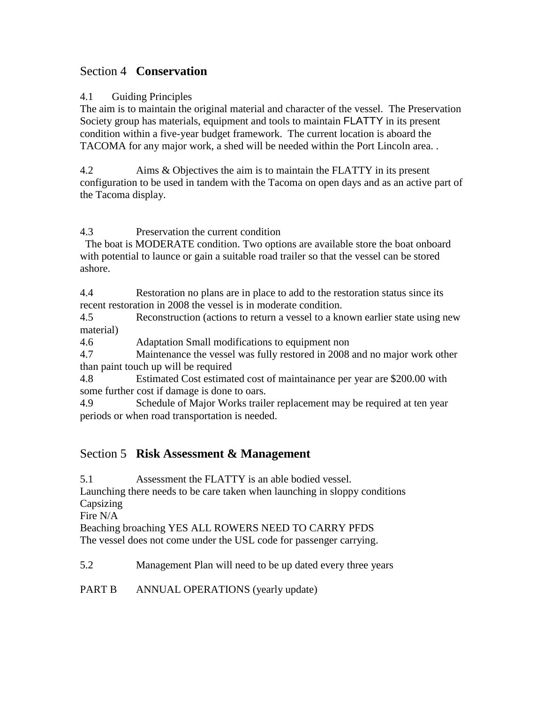### Section 4 **Conservation**

#### 4.1 Guiding Principles

The aim is to maintain the original material and character of the vessel. The Preservation Society group has materials, equipment and tools to maintain FLATTY in its present condition within a five-year budget framework. The current location is aboard the TACOMA for any major work, a shed will be needed within the Port Lincoln area. .

4.2 Aims & Objectives the aim is to maintain the FLATTY in its present configuration to be used in tandem with the Tacoma on open days and as an active part of the Tacoma display.

4.3 Preservation the current condition

The boat is MODERATE condition. Two options are available store the boat onboard with potential to launce or gain a suitable road trailer so that the vessel can be stored ashore.

4.4 Restoration no plans are in place to add to the restoration status since its recent restoration in 2008 the vessel is in moderate condition.

4.5 Reconstruction (actions to return a vessel to a known earlier state using new material)

4.6 Adaptation Small modifications to equipment non

4.7 Maintenance the vessel was fully restored in 2008 and no major work other than paint touch up will be required

4.8 Estimated Cost estimated cost of maintainance per year are \$200.00 with some further cost if damage is done to oars.

4.9 Schedule of Major Works trailer replacement may be required at ten year periods or when road transportation is needed.

# Section 5 **Risk Assessment & Management**

5.1 Assessment the FLATTY is an able bodied vessel.

Launching there needs to be care taken when launching in sloppy conditions Capsizing

Fire N/A

Beaching broaching YES ALL ROWERS NEED TO CARRY PFDS

The vessel does not come under the USL code for passenger carrying.

5.2 Management Plan will need to be up dated every three years

PART B ANNUAL OPERATIONS (yearly update)